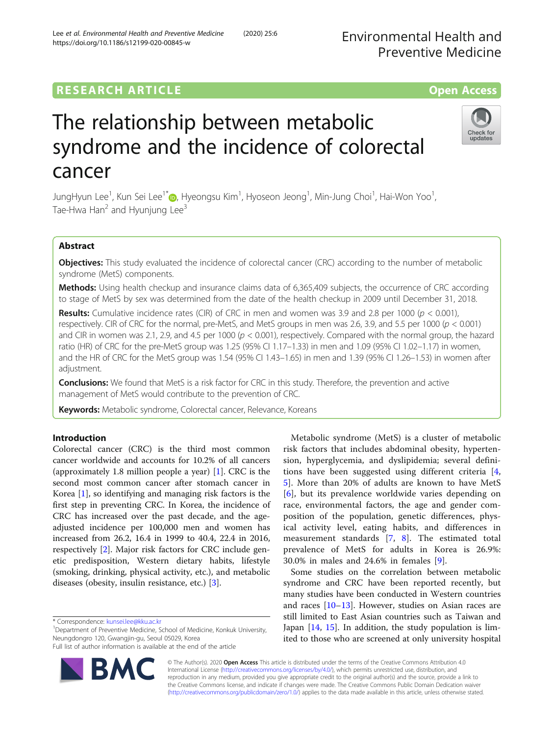# **RESEARCH ARTICLE Example 2014 12:30 The Contract of Contract ACCESS**

# The relationship between metabolic syndrome and the incidence of colorectal cancer

JungHyun Lee<sup>1</sup>, Kun Sei Lee<sup>1[\\*](http://orcid.org/0000-0003-1552-6761)</sup>®, Hyeongsu Kim<sup>1</sup>, Hyoseon Jeong<sup>1</sup>, Min-Jung Choi<sup>1</sup>, Hai-Won Yoo<sup>1</sup> , Tae-Hwa Han<sup>2</sup> and Hyunjung Lee<sup>3</sup>

# Abstract

**Objectives:** This study evaluated the incidence of colorectal cancer (CRC) according to the number of metabolic syndrome (MetS) components.

Methods: Using health checkup and insurance claims data of 6,365,409 subjects, the occurrence of CRC according to stage of MetS by sex was determined from the date of the health checkup in 2009 until December 31, 2018.

**Results:** Cumulative incidence rates (CIR) of CRC in men and women was 3.9 and 2.8 per 1000 ( $p < 0.001$ ), respectively. CIR of CRC for the normal, pre-MetS, and MetS groups in men was 2.6, 3.9, and 5.5 per 1000  $(p < 0.001)$ and CIR in women was 2.1, 2.9, and 4.5 per 1000 ( $p < 0.001$ ), respectively. Compared with the normal group, the hazard ratio (HR) of CRC for the pre-MetS group was 1.25 (95% CI 1.17–1.33) in men and 1.09 (95% CI 1.02–1.17) in women, and the HR of CRC for the MetS group was 1.54 (95% CI 1.43–1.65) in men and 1.39 (95% CI 1.26–1.53) in women after adjustment.

**Conclusions:** We found that MetS is a risk factor for CRC in this study. Therefore, the prevention and active management of MetS would contribute to the prevention of CRC.

Keywords: Metabolic syndrome, Colorectal cancer, Relevance, Koreans

# Introduction

Colorectal cancer (CRC) is the third most common cancer worldwide and accounts for 10.2% of all cancers (approximately 1.8 million people a year) [\[1](#page-12-0)]. CRC is the second most common cancer after stomach cancer in Korea [\[1](#page-12-0)], so identifying and managing risk factors is the first step in preventing CRC. In Korea, the incidence of CRC has increased over the past decade, and the ageadjusted incidence per 100,000 men and women has increased from 26.2, 16.4 in 1999 to 40.4, 22.4 in 2016, respectively [[2\]](#page-12-0). Major risk factors for CRC include genetic predisposition, Western dietary habits, lifestyle (smoking, drinking, physical activity, etc.), and metabolic diseases (obesity, insulin resistance, etc.) [[3\]](#page-12-0).

\* Correspondence: [kunsei.lee@kku.ac.kr](mailto:kunsei.lee@kku.ac.kr) <sup>1</sup>

Department of Preventive Medicine, School of Medicine, Konkuk University, Neungdongro 120, Gwangjin-gu, Seoul 05029, Korea

© The Author(s). 2020 Open Access This article is distributed under the terms of the Creative Commons Attribution 4.0 International License [\(http://creativecommons.org/licenses/by/4.0/](http://creativecommons.org/licenses/by/4.0/)), which permits unrestricted use, distribution, and reproduction in any medium, provided you give appropriate credit to the original author(s) and the source, provide a link to the Creative Commons license, and indicate if changes were made. The Creative Commons Public Domain Dedication waiver [\(http://creativecommons.org/publicdomain/zero/1.0/](http://creativecommons.org/publicdomain/zero/1.0/)) applies to the data made available in this article, unless otherwise stated.





Metabolic syndrome (MetS) is a cluster of metabolic risk factors that includes abdominal obesity, hypertension, hyperglycemia, and dyslipidemia; several definitions have been suggested using different criteria [\[4](#page-12-0), [5\]](#page-12-0). More than 20% of adults are known to have MetS [[6](#page-12-0)], but its prevalence worldwide varies depending on race, environmental factors, the age and gender composition of the population, genetic differences, physical activity level, eating habits, and differences in measurement standards [[7,](#page-12-0) [8](#page-12-0)]. The estimated total prevalence of MetS for adults in Korea is 26.9%:

Some studies on the correlation between metabolic syndrome and CRC have been reported recently, but many studies have been conducted in Western countries and races [\[10](#page-12-0)–[13\]](#page-12-0). However, studies on Asian races are still limited to East Asian countries such as Taiwan and Japan [\[14](#page-12-0), [15\]](#page-12-0). In addition, the study population is limited to those who are screened at only university hospital

30.0% in males and 24.6% in females [\[9](#page-12-0)].

Full list of author information is available at the end of the article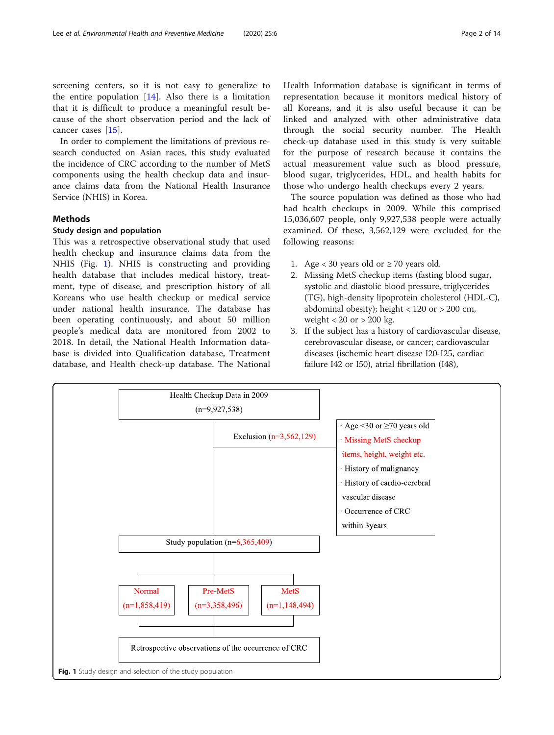screening centers, so it is not easy to generalize to the entire population [[14\]](#page-12-0). Also there is a limitation that it is difficult to produce a meaningful result because of the short observation period and the lack of cancer cases [\[15](#page-12-0)].

In order to complement the limitations of previous research conducted on Asian races, this study evaluated the incidence of CRC according to the number of MetS components using the health checkup data and insurance claims data from the National Health Insurance Service (NHIS) in Korea.

# Methods

# Study design and population

This was a retrospective observational study that used health checkup and insurance claims data from the NHIS (Fig. 1). NHIS is constructing and providing health database that includes medical history, treatment, type of disease, and prescription history of all Koreans who use health checkup or medical service under national health insurance. The database has been operating continuously, and about 50 million people's medical data are monitored from 2002 to 2018. In detail, the National Health Information database is divided into Qualification database, Treatment database, and Health check-up database. The National Health Information database is significant in terms of representation because it monitors medical history of all Koreans, and it is also useful because it can be linked and analyzed with other administrative data through the social security number. The Health check-up database used in this study is very suitable for the purpose of research because it contains the actual measurement value such as blood pressure, blood sugar, triglycerides, HDL, and health habits for those who undergo health checkups every 2 years.

The source population was defined as those who had had health checkups in 2009. While this comprised 15,036,607 people, only 9,927,538 people were actually examined. Of these, 3,562,129 were excluded for the following reasons:

- 1. Age < 30 years old or  $\geq$  70 years old.
- 2. Missing MetS checkup items (fasting blood sugar, systolic and diastolic blood pressure, triglycerides (TG), high-density lipoprotein cholesterol (HDL-C), abdominal obesity); height < 120 or > 200 cm, weight  $< 20$  or  $> 200$  kg.
- 3. If the subject has a history of cardiovascular disease, cerebrovascular disease, or cancer; cardiovascular diseases (ischemic heart disease I20-I25, cardiac failure I42 or I50), atrial fibrillation (I48),

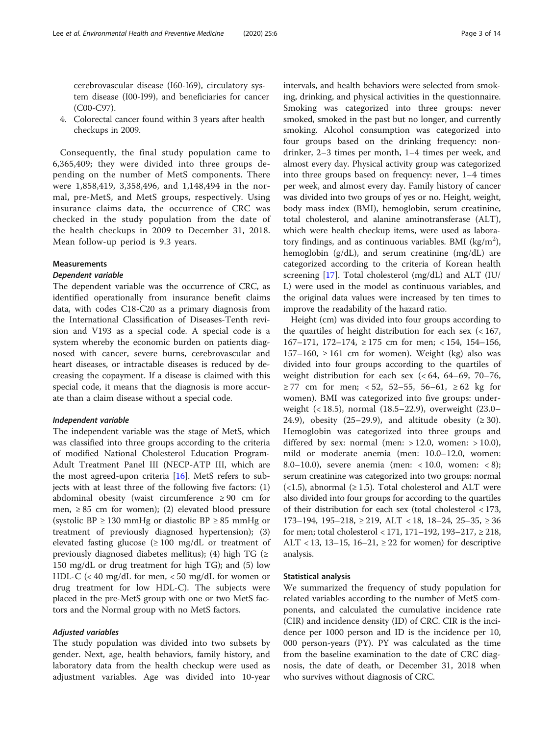4. Colorectal cancer found within 3 years after health checkups in 2009.

Consequently, the final study population came to 6,365,409; they were divided into three groups depending on the number of MetS components. There were 1,858,419, 3,358,496, and 1,148,494 in the normal, pre-MetS, and MetS groups, respectively. Using insurance claims data, the occurrence of CRC was checked in the study population from the date of the health checkups in 2009 to December 31, 2018. Mean follow-up period is 9.3 years.

#### Measurements

#### Dependent variable

The dependent variable was the occurrence of CRC, as identified operationally from insurance benefit claims data, with codes C18-C20 as a primary diagnosis from the International Classification of Diseases-Tenth revision and V193 as a special code. A special code is a system whereby the economic burden on patients diagnosed with cancer, severe burns, cerebrovascular and heart diseases, or intractable diseases is reduced by decreasing the copayment. If a disease is claimed with this special code, it means that the diagnosis is more accurate than a claim disease without a special code.

#### Independent variable

The independent variable was the stage of MetS, which was classified into three groups according to the criteria of modified National Cholesterol Education Program-Adult Treatment Panel III (NECP-ATP III, which are the most agreed-upon criteria [\[16\]](#page-12-0). MetS refers to subjects with at least three of the following five factors: (1) abdominal obesity (waist circumference ≥ 90 cm for men,  $\geq 85$  cm for women); (2) elevated blood pressure (systolic BP ≥ 130 mmHg or diastolic BP ≥ 85 mmHg or treatment of previously diagnosed hypertension); (3) elevated fasting glucose  $(≥ 100 \text{ mg/dL}$  or treatment of previously diagnosed diabetes mellitus); (4) high TG ( $\ge$ 150 mg/dL or drug treatment for high TG); and (5) low HDL-C (< 40 mg/dL for men, < 50 mg/dL for women or drug treatment for low HDL-C). The subjects were placed in the pre-MetS group with one or two MetS factors and the Normal group with no MetS factors.

# Adjusted variables

The study population was divided into two subsets by gender. Next, age, health behaviors, family history, and laboratory data from the health checkup were used as adjustment variables. Age was divided into 10-year intervals, and health behaviors were selected from smoking, drinking, and physical activities in the questionnaire. Smoking was categorized into three groups: never smoked, smoked in the past but no longer, and currently smoking. Alcohol consumption was categorized into four groups based on the drinking frequency: nondrinker, 2–3 times per month, 1–4 times per week, and almost every day. Physical activity group was categorized into three groups based on frequency: never, 1–4 times per week, and almost every day. Family history of cancer was divided into two groups of yes or no. Height, weight, body mass index (BMI), hemoglobin, serum creatinine, total cholesterol, and alanine aminotransferase (ALT), which were health checkup items, were used as laboratory findings, and as continuous variables. BMI (kg/m<sup>2</sup>), hemoglobin (g/dL), and serum creatinine (mg/dL) are categorized according to the criteria of Korean health screening [\[17](#page-12-0)]. Total cholesterol (mg/dL) and ALT (IU/ L) were used in the model as continuous variables, and the original data values were increased by ten times to improve the readability of the hazard ratio.

Height (cm) was divided into four groups according to the quartiles of height distribution for each sex  $\left($  < 167, 167–171, 172–174, ≥ 175 cm for men; < 154, 154–156, 157–160,  $\geq$  161 cm for women). Weight (kg) also was divided into four groups according to the quartiles of weight distribution for each sex  $( $64, 64-69, 70-76$ ,$ ≥ 77 cm for men; < 52, 52–55, 56–61, ≥ 62 kg for women). BMI was categorized into five groups: underweight (< 18.5), normal (18.5–22.9), overweight (23.0– 24.9), obesity (25–29.9), and altitude obesity ( $\geq$  30). Hemoglobin was categorized into three groups and differed by sex: normal (men:  $> 12.0$ , women:  $> 10.0$ ), mild or moderate anemia (men: 10.0–12.0, women: 8.0–10.0), severe anemia (men: < 10.0, women: < 8); serum creatinine was categorized into two groups: normal  $\left($  < 1.5), abnormal ( $\geq$  1.5). Total cholesterol and ALT were also divided into four groups for according to the quartiles of their distribution for each sex (total cholesterol < 173, 173–194, 195–218, ≥ 219, ALT < 18, 18–24, 25–35, ≥ 36 for men; total cholesterol < 171, 171–192, 193–217, ≥ 218, ALT < 13, 13–15, 16–21,  $\geq$  22 for women) for descriptive analysis.

#### Statistical analysis

We summarized the frequency of study population for related variables according to the number of MetS components, and calculated the cumulative incidence rate (CIR) and incidence density (ID) of CRC. CIR is the incidence per 1000 person and ID is the incidence per 10, 000 person-years (PY). PY was calculated as the time from the baseline examination to the date of CRC diagnosis, the date of death, or December 31, 2018 when who survives without diagnosis of CRC.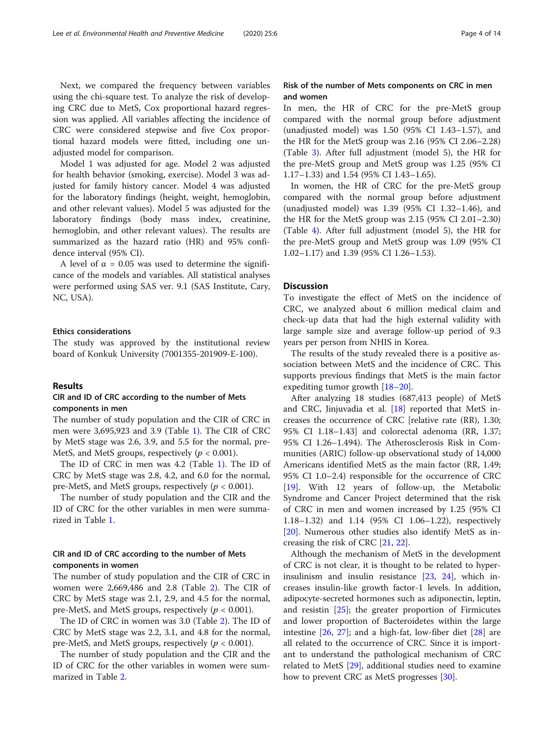Next, we compared the frequency between variables using the chi-square test. To analyze the risk of developing CRC due to MetS, Cox proportional hazard regression was applied. All variables affecting the incidence of CRC were considered stepwise and five Cox proportional hazard models were fitted, including one unadjusted model for comparison.

Model 1 was adjusted for age. Model 2 was adjusted for health behavior (smoking, exercise). Model 3 was adjusted for family history cancer. Model 4 was adjusted for the laboratory findings (height, weight, hemoglobin, and other relevant values). Model 5 was adjusted for the laboratory findings (body mass index, creatinine, hemoglobin, and other relevant values). The results are summarized as the hazard ratio (HR) and 95% confidence interval (95% CI).

A level of  $\alpha$  = 0.05 was used to determine the significance of the models and variables. All statistical analyses were performed using SAS ver. 9.1 (SAS Institute, Cary, NC, USA).

#### Ethics considerations

The study was approved by the institutional review board of Konkuk University (7001355-201909-E-100).

#### Results

# CIR and ID of CRC according to the number of Mets components in men

The number of study population and the CIR of CRC in men were 3,695,923 and 3.9 (Table [1\)](#page-4-0). The CIR of CRC by MetS stage was 2.6, 3.9, and 5.5 for the normal, pre-MetS, and MetS groups, respectively ( $p < 0.001$ ).

The ID of CRC in men was 4.2 (Table [1\)](#page-4-0). The ID of CRC by MetS stage was 2.8, 4.2, and 6.0 for the normal, pre-MetS, and MetS groups, respectively ( $p < 0.001$ ).

The number of study population and the CIR and the ID of CRC for the other variables in men were summarized in Table [1.](#page-4-0)

# CIR and ID of CRC according to the number of Mets components in women

The number of study population and the CIR of CRC in women were 2,669,486 and 2.8 (Table [2\)](#page-6-0). The CIR of CRC by MetS stage was 2.1, 2.9, and 4.5 for the normal, pre-MetS, and MetS groups, respectively ( $p < 0.001$ ).

The ID of CRC in women was 3.0 (Table [2\)](#page-6-0). The ID of CRC by MetS stage was 2.2, 3.1, and 4.8 for the normal, pre-MetS, and MetS groups, respectively ( $p < 0.001$ ).

The number of study population and the CIR and the ID of CRC for the other variables in women were summarized in Table [2](#page-6-0).

# Risk of the number of Mets components on CRC in men and women

In men, the HR of CRC for the pre-MetS group compared with the normal group before adjustment (unadjusted model) was 1.50 (95% CI 1.43–1.57), and the HR for the MetS group was 2.16 (95% CI 2.06–2.28) (Table [3](#page-8-0)). After full adjustment (model 5), the HR for the pre-MetS group and MetS group was 1.25 (95% CI 1.17–1.33) and 1.54 (95% CI 1.43–1.65).

In women, the HR of CRC for the pre-MetS group compared with the normal group before adjustment (unadjusted model) was 1.39 (95% CI 1.32–1.46), and the HR for the MetS group was 2.15 (95% CI 2.01–2.30) (Table [4](#page-10-0)). After full adjustment (model 5), the HR for the pre-MetS group and MetS group was 1.09 (95% CI 1.02–1.17) and 1.39 (95% CI 1.26–1.53).

#### **Discussion**

To investigate the effect of MetS on the incidence of CRC, we analyzed about 6 million medical claim and check-up data that had the high external validity with large sample size and average follow-up period of 9.3 years per person from NHIS in Korea.

The results of the study revealed there is a positive association between MetS and the incidence of CRC. This supports previous findings that MetS is the main factor expediting tumor growth [\[18](#page-12-0)–[20](#page-12-0)].

After analyzing 18 studies (687,413 people) of MetS and CRC, Jinjuvadia et al. [\[18](#page-12-0)] reported that MetS increases the occurrence of CRC [relative rate (RR), 1.30; 95% CI 1.18–1.43] and colorectal adenoma (RR, 1.37; 95% CI 1.26–1.494). The Atherosclerosis Risk in Communities (ARIC) follow-up observational study of 14,000 Americans identified MetS as the main factor (RR, 1.49; 95% CI 1.0–2.4) responsible for the occurrence of CRC [[19\]](#page-12-0). With 12 years of follow-up, the Metabolic Syndrome and Cancer Project determined that the risk of CRC in men and women increased by 1.25 (95% CI 1.18–1.32) and 1.14 (95% CI 1.06–1.22), respectively [[20\]](#page-12-0). Numerous other studies also identify MetS as increasing the risk of CRC [\[21,](#page-12-0) [22\]](#page-12-0).

Although the mechanism of MetS in the development of CRC is not clear, it is thought to be related to hyperinsulinism and insulin resistance [\[23,](#page-12-0) [24](#page-12-0)], which increases insulin-like growth factor-1 levels. In addition, adipocyte-secreted hormones such as adiponectin, leptin, and resistin [\[25\]](#page-12-0); the greater proportion of Firmicutes and lower proportion of Bacteroidetes within the large intestine [[26](#page-12-0), [27](#page-12-0)]; and a high-fat, low-fiber diet [\[28](#page-12-0)] are all related to the occurrence of CRC. Since it is important to understand the pathological mechanism of CRC related to MetS [[29\]](#page-12-0), additional studies need to examine how to prevent CRC as MetS progresses [[30](#page-12-0)].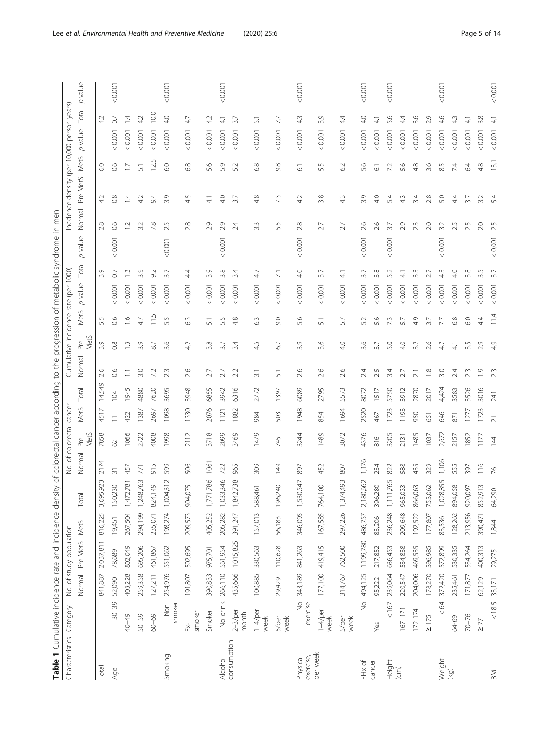| <b>ble 1</b> Cumulative          | e incidence rate and in                         |                  |       | ncidence density of colorectal |            |             | I cancer according to the progression of metabolic syndrome in men |  |                                      |  |
|----------------------------------|-------------------------------------------------|------------------|-------|--------------------------------|------------|-------------|--------------------------------------------------------------------|--|--------------------------------------|--|
| i<br>ategor<br>aractorict<br>うりり | <b>AN DODL</b><br>VEIN C C<br>i<br>Su<br>)<br>D | lation           |       | ピリノ<br>s<br>S<br>)<br>2        | I cancer   |             | umulative incidence rate (per 1000).                               |  | Incidence density (per 10,000 perso- |  |
|                                  | re-Met.<br>Ξ<br>ormal                           | Met <sub>5</sub> | Total | l Pre-<br>Jormal               | MetS Total | Normal Pre- | MetS p value Total p value 1                                       |  | Normal Pre-MetS MetS p value         |  |
|                                  |                                                 |                  |       | Vets                           |            | VletS       |                                                                    |  |                                      |  |

<span id="page-4-0"></span>

| Characteristics Category |                           |         | No. of study population |         |                                         |                 | No. of colorectal cancer |                |             |                  |                      |                  | Cumulative incidence rate (per 1000) |                 |         |                  | Incidence density (per 10,000 person-years) |                |         |                 |         |
|--------------------------|---------------------------|---------|-------------------------|---------|-----------------------------------------|-----------------|--------------------------|----------------|-------------|------------------|----------------------|------------------|--------------------------------------|-----------------|---------|------------------|---------------------------------------------|----------------|---------|-----------------|---------|
|                          |                           |         | Normal Pre-MetS         | MetS    | $\overline{\sigma}$<br>Tot <sub>i</sub> | Normal          | MetS<br>Pre-             | <b>MetS</b>    | Total       | Normal           | MetS<br>$_{\rm Pre}$ | Met <sub>S</sub> | p value                              | Total           | p value |                  | Normal Pre-MetS MetS                        |                | p value | Total           | p value |
| Total                    |                           | 841,887 | 2,037,811               | 816,225 | 3,695,923                               | 2174            | 7858                     | 4517           | Ō<br>14,549 | 2.6              | 3.9                  | 5.5              |                                      | 3.9             |         | 2.8              | 42                                          | င္ပ            |         |                 |         |
| Age                      | $30 - 39$                 | 52,090  | 78,689                  | 19,451  | 150,230                                 | $\overline{31}$ | 8                        | $\equiv$       | 104         | 0.6              | $\frac{8}{2}$        | 0.6              | < 0.001                              | $\overline{O}$  | 0.001   | 0.6              | 0.8                                         | 66             | < 0.001 | $\rm C$         | < 0.001 |
|                          | 40-49                     | 403,228 | 802,049                 | 267,504 | 1,472,781                               | 457             | 1066                     | 422            | 1945        | Ξ                | $\frac{1}{2}$        | $\frac{6}{1}$    | 0.001                                | $\frac{3}{2}$   |         | $\overline{1}$ . | $\bar{4}$                                   | $\Box$         | < 0.001 | 4               |         |
|                          | 50-59                     | 259,358 | 695,206                 | 294,199 | 1,248,763                               | 771             | 2722                     | 1387           | 4880        | 3.0              | 3.9                  | 47               | < 0.001                              | 3.9             |         | 3.2              | 42                                          | 51             | < 0.001 | 42              |         |
|                          | 60-69                     | 127,211 | 461,867                 | 235,071 | 824,149                                 | 915             | 4008                     | 2697           | 7620        | 7.2              | $\approx$            | $\frac{5}{11}$   | < 0.001                              | 92              |         | 7.8              | 9.4                                         | 5<br>12.       | < 0.001 | 10.0            |         |
| Smoking                  | Non-<br>smoker            | 254,976 | 551,062                 | 198,274 | 1,004,312                               | 599             | 1998                     | 1098           | 3695        | 23               | 3.6                  | 5.5              | < 0.001                              | $\overline{37}$ | 0000    | 5<br>$\sim$      | 3.9                                         | $\overline{6}$ | 0.0001  | 40              | < 0.001 |
|                          | smoker<br>Ŗ               | 191,807 | 502,695                 | 209,573 | ,075<br>904                             | 506             | 2112                     | 1330           | 3948        | 2.6              | 4.2                  | 6.3              | < 0.001                              | 44              |         | 2.8              | 4.5                                         | 6.8            | < 0.001 | 47              |         |
|                          | Smoker                    | 390,833 | 975,701                 | 405,252 | 1,771,786                               | 1061            | 3718                     | 2076           | 6855        | 2.7              | 3.8                  | $\overline{51}$  | < 0.001                              | 3.9             |         | 2.9              | $\overline{4}$                              | 5.6            | < 0.001 | $\overline{42}$ |         |
| <b>Alcohol</b>           | No drink                  | 266,110 | 561,954                 | 205,282 | 1,033,346                               | 722             | 2099                     | 1121           | 3942        | 27               | 3.7                  | 5.5              | < 0.001                              | 3.8             | < 0.001 | 2.9              | 4.0                                         | 5.9            | < 0.001 | $\frac{1}{4}$   | < 0.001 |
| consumption              | $2-3$ /per<br>month       | 435,666 | 1,015,825               | 391,247 | 1,842,738                               | 965             | 3469                     | 1882           | 6316        | 2.2              | 3.4                  | 4.8              | < 0.001                              | $\ddot{3.4}$    |         | 2.4              | $\overline{3.7}$                            | 5.2            | 0.0001  | $\overline{37}$ |         |
|                          | $1-4$ /per<br>week        | 100,885 | 330,563                 | 157,013 | ,461<br>588                             | 309             | 1479                     | 984            | 2772        | $\overline{3}$ . | ŋ<br>4.              | m<br>Ö           | 0.0001                               | 47              |         | 3.3              | 4.8                                         | 6.8            | 0.0001  | 51              |         |
|                          | <b>S/per</b><br>week      | 29,429  | 110,628                 | 56,183  | 196,240                                 | 149             | 745                      | 503            | 1397        | 51               | 6.7                  | 9.0              | < 0.001                              | $\overline{71}$ |         | 5.5              | 73                                          | 9.8            | 0.001   | 77              |         |
| exercise,<br>Physical    | $\frac{1}{2}$<br>exercise | 343,189 | 841,263                 | 346,095 | 30,547<br>1.5                           | 897             | 3244                     | 1948           | 6089        | 2.6              | Q,<br>ന്             | 5.6              | < 0.001                              | 40              | 0.001   | 2.8              | 4.2                                         | $\overline{6}$ | 0.0001  | 43              | 0.001   |
| per week                 | $1-4$ /per<br>week        |         | 177,100 419,415         | 167,585 | 764,100                                 | 452             | 1489                     | 854            | 2795        | 2.6              | 3.6                  | $\overline{51}$  | 0.001                                | 37              |         | 27               | 3.8                                         | 5.5            | < 0.001 | 3.9             |         |
|                          | <b>S/per</b><br>week      |         | 314,767 762,500         | 297,226 | 1,374,493                               | 807             | 3072                     | 1694           | 5573        | 2.6              | 4.0                  | 57               | 0.001                                | $\frac{1}{4}$   |         | 2.7              | 4.3                                         | 6.2            | 0.001   | 44              |         |
| FH <sub>x</sub> of       | $\frac{1}{2}$             | 494,125 | 1,199,780               | 486,757 | 2,180,662                               | 1,176           | 4376                     | 2520           | 8072        | 2.4              | 3.6                  | 5.2              | < 0.001                              | $\overline{37}$ | < 0.001 | 2.6              | 3.9                                         | 5.6            | < 0.001 | $\frac{1}{4}$   | < 0.001 |
| cancer                   | Yes                       | 95,222  | 217,852                 | 83,206  | 396,280                                 | 234             | $\frac{6}{8}$            | 467            | 1517        | 2.5              | 3.7                  | 5.6              | < 0.001                              | 3.8             |         | 2.6              | 4.0                                         | $\overline{6}$ | < 0.001 | ₹               |         |
| Height                   | < 167                     | 239,064 | 636,453                 | 236,248 | 1,111,765                               | 822             | 3205                     | 1723           | 5750        | 3.4              | 5.0                  | 73               | < 0.001                              | 52              | < 0.001 | 3.7              | 5.4                                         | 7.2            | < 0.001 | 5.6             | < 0.001 |
| $\widehat{c}$            | $167 - 171$               | 220,547 | 534,838                 | 209,648 | 965,033                                 | 588             | 2131                     | 1193           | 3912        | 2.7              | 4.0                  | 5.7              | < 0.001                              | 41              |         | 2.9              | $\frac{3}{4}$                               | 5.6            | < 0.001 | 4.              |         |
|                          | 172-174                   | 204,006 | 469,535                 | 192,522 | 866,063                                 | 435             | 1485                     | 950            | 2870        | $\overline{2.1}$ | 3.2                  | 49               | < 0.001                              | 33              |         | 23               | 3.4                                         | 4.8            | < 0.001 | 3.6             |         |
|                          | $\geq$ 175                | 178,270 | 396,985                 | 177,807 | 753,062                                 | 329             | 1037                     | 651            | 2017        | $\frac{8}{1}$    | 2.6                  | 3.7              | < 0.001                              |                 |         | 2.0              | 2.8                                         | 3.6            | < 0.001 | 2.9             |         |
| Weight                   | $\leq$ 64                 | 372,420 | 572,899                 | 83,536  | 1,028,855                               | 1,106           | 2,672                    | 846            | 4,424       | 3.0              | 47                   |                  | < 0.001                              | 43              | < 0.001 | 3.2              | 5.0                                         | 8.5            | < 0.001 | 4,6             | < 0.001 |
| (kg)                     | 64-69                     | 235,461 | 530,335                 | 128,262 | 894,058                                 | 555             | 2157                     | 871            | 3583        | 2.4              | $\frac{1}{4}$        | 6.8              | < 0.001                              | $\frac{0}{4}$   |         | 2.5              | 4.4                                         | 74             | < 0.001 | $\frac{3}{4}$   |         |
|                          | 70-76                     | 171,877 | 534,264                 | 213,956 | 920,097                                 | 397             | 1852                     | 127            | 3526        | 23               | 3.5                  | 6.0              | < 0.001                              | 3.8             |         | 2.5              | 3.7                                         | 64             | 0.001   | 41              |         |
|                          | $\geq$ 77                 | 62,129  | 400,313                 | 390,471 | 852,913                                 | 116             | 117                      | 1723           | 3016        | $\overline{0}$   | 2.9                  | 44               | < 0.001                              | Lŋ.             |         | 2.0              | 3.2                                         | 4.8            | < 0.001 | 3.8             |         |
| <b>BMI</b>               | $< 18.5$                  | 33,171  | 29,275                  | 1,844   | 64,290                                  | $\frac{8}{10}$  | $\overline{4}$           | $\overline{2}$ | 241         | 23               | 49                   | 11.4             | 0.001                                | 37              | < 0.001 | 2.5              | 5.4                                         | 13.1           | 0.0001  | 41              | < 0.001 |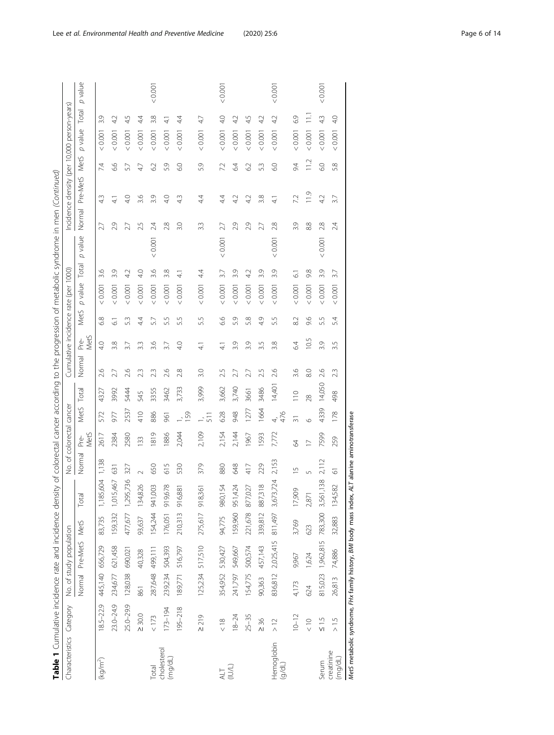| Table 1 Cumulative incidence rate and incidence density of colorectal cancer according to the progression of metabolic syndrome in men (Continued) |                           |         |                         |         |                       |                              |                          |                |                 |                  |                                      |                  |               |                 |                |                                             |                   |           |                 |         |
|----------------------------------------------------------------------------------------------------------------------------------------------------|---------------------------|---------|-------------------------|---------|-----------------------|------------------------------|--------------------------|----------------|-----------------|------------------|--------------------------------------|------------------|---------------|-----------------|----------------|---------------------------------------------|-------------------|-----------|-----------------|---------|
| Characteristics Category                                                                                                                           |                           |         | No. of study population |         |                       |                              | No. of colorectal cancer |                |                 |                  | Cumulative incidence rate (per 1000) |                  |               |                 |                | Incidence density (per 10,000 person-years) |                   |           |                 |         |
|                                                                                                                                                    |                           |         | Normal Pre-MetS MetS    |         | Total                 | Normal                       | MetS<br>Pre-             | MetS Total     |                 | Normal           | MetS<br>Pre-                         | Met <sub>5</sub> | p value Total |                 | p value        | Normal Pre-MetS MetS                        |                   | p value   | Total           | p value |
| (kg/m <sup>2</sup> )                                                                                                                               | 18.5-22.9 445,140 656,729 |         |                         | 83,735  | 1,185,604             | 1,138                        | 2617                     | 572            | 4327            | 2.6              | 4.0                                  | 6.8              | < 0.001       | 3.6             | 27             | 4 <sub>3</sub>                              | 7.4               | 0.0001    | 3.9             |         |
|                                                                                                                                                    | $23.0 - 24.9$             |         | 234,677 621,458         |         | 159,332 1,015,467     | 631                          | 2384                     | 977            | 3992            | 2.7              | 3.8                                  | 2                | < 0.001       | 3.9             | 2.9            | $\frac{4}{1}$                               | 6.6               | < 0.001   | $\overline{42}$ |         |
|                                                                                                                                                    | 25.0-29.9                 |         | 128,038 690,021         |         | 477,677 1,295,736     | 327                          | 2580                     | 2537           | 5444            | 2.6              | 3.7                                  | 5.3              | 0.001         | 42              | 2.7            | 4.0                                         | 5.7               | < 0.001   | 45              |         |
|                                                                                                                                                    | $\geq 30.0$               | 861     | 40,328                  | 93,637  | 134,826               | $\sim$                       | 133                      | 410            | 545             | 2.3              | 3.3                                  | 44               | 10000         | 40              | 2.5            | 3.6                                         | 4.7               | 0.001     | 44              |         |
| Total                                                                                                                                              | < 173                     |         | 287,648 499,111         |         | 154,244 941,003       | 650                          | 1819                     | 886            | 3355            | 23               | 3.6                                  | 5.7              | 0.001         | 3.6             | 2.4<br>0.001   | 3.9                                         | 6.2               | 0.0001    | 3.8             | 0.001   |
| cholesterol<br>(mg/dL)                                                                                                                             | $173 - 194$               | 239,234 | 504,393                 |         | 176,051 919,678       | 615                          | 1886                     | 961            | 3462            | 2.6              | 3.7                                  | 5.5              | 0.001         | 3.8             | 2.8            | 4.0                                         | 5.9               | < 0.001   | $\frac{1}{4}$   |         |
|                                                                                                                                                    | $195 - 218$               | 189,771 | 516,797                 | 210,313 | 916,881               | 530                          | 2,044                    | 159            | 3,733           | 2.8              | 40                                   | 5.5              | < 0.001       | $\frac{1}{4}$   | 3.0            | 4.3                                         | $\overline{6}$ .0 | < 0.001   | $\ddot{4}$      |         |
|                                                                                                                                                    | $\geq 219$                |         | 125,234 517,510         | 275,617 | $\overline{6}$<br>918 | 379                          | 2,109                    |                | 3,999           | 3.0              | $\frac{1}{4}$                        | 5.5              | 0.001         | 44              | 3.3            | 44                                          | 5.9               | 0.001     | 47              |         |
| $\frac{\text{ALT}}{\text{IUL}}$                                                                                                                    | $\frac{8}{5}$             |         | 354,952 530,427         | 94,775  | 54<br>980,1           | 880                          | 2,154                    | 628            | 3,662           | 2.5              | $\frac{1}{4}$                        | 6.6              | 0.001         | 3.7             | 2.7<br>< 0.001 | 44                                          | 7.2               | $<0.001$  | 40              | < 0.001 |
|                                                                                                                                                    | $18 - 24$                 | 241,797 | 549,667                 | 159,960 | 424<br>951,4          | 648                          | 2,144                    | 948            | 3,740           | 2.7              | 3.9                                  | 5.9              | < 0.001       | 3.9             | 2.9            | 42                                          | 64                | < 0.001   | 42              |         |
|                                                                                                                                                    | $25 - 35$                 | 154,775 | 500,574                 | 221,678 | 877,027               | 417                          | 1967                     | 1277           | 3661            | 2.7              | 3.9                                  | 5.8              | < 0.001       | $\overline{42}$ | 2.9            | 4.2                                         | 62                | < 0.001   | 45              |         |
|                                                                                                                                                    | $\geq 36$                 | 90,363  | 457,143                 |         | 339,812 887,318       | 229                          | 1593                     | 1664           | 3486            | 2.5              | 3.5                                  | 4.9              | $<0.001$      | 3.9             | 2.7            | 3.8                                         | 5.3               | $< 0.001$ | 42              |         |
| Hemoglobin<br>(d/dL)                                                                                                                               | $\geq 1$                  | 836,812 | 2,025,415               | 811,497 | 3,724<br>3,67         | 2,153                        | 7,772                    | 476<br>4,      | 14,401          | 2.6              | 3.8                                  | 5.5              | 0.001         | 3.9             | 2.8<br>0.001   | $\frac{1}{4}$                               | 6.0               | < 0.001   | 42              | 0.001   |
|                                                                                                                                                    | $10 - 12$                 | 4,173   | 9,967                   | 3,769   | 17,909                | $\cup$                       | 8                        | $\overline{5}$ | $\frac{10}{10}$ | 3.6              | 6.4                                  | 82               | 0.0001        | $\overline{6}$  | 3.9            | 7.2                                         | 9.4               | < 0.001   | 69              |         |
|                                                                                                                                                    | $\frac{0}{x}$             | 624     | 1,624                   | 623     | 2,87                  | 5                            | $\geq$                   | $\circ$        | 28              | $\frac{8}{2}$    | 10.5                                 | 9.6              | 10000         | 9.8             | 8.8            | 11.9                                        | 11.2              | 10001     | $\Xi$           |         |
| Serum                                                                                                                                              | $rac{15}{5}$              | 815,023 | 1,962,815               | 783,300 | 1,138<br>3,561        | 2,112                        | 7599                     | 4339           | 14,050          | 2.6              | 3.9                                  | 5.5              | 0.001         | 3.9             | 2.8<br>0.001   | 42                                          | 6.0               | $<0.001$  | 43              | 0.001   |
| creatinine<br>$($ mg/dL                                                                                                                            | $\frac{5}{1}$             | 26,813  | 74,886                  | 32,883  | 582<br>134,5          | 5                            | 259                      | 178            | 498             | $2.\overline{3}$ | 3.5                                  | 5.4              | 0.0001        | 3.7             | 2.4            | 3.7                                         | 5.8               | < 0.001   | $\frac{1}{2}$   |         |
| MetS metabolic syndrome, FHx family history, BMI body mass index,                                                                                  |                           |         |                         |         |                       | ALT alanine aminotransferase |                          |                |                 |                  |                                      |                  |               |                 |                |                                             |                   |           |                 |         |

Lee et al. Environmental Health and Preventive Medicine (2020) 25:6 Page 6 of 14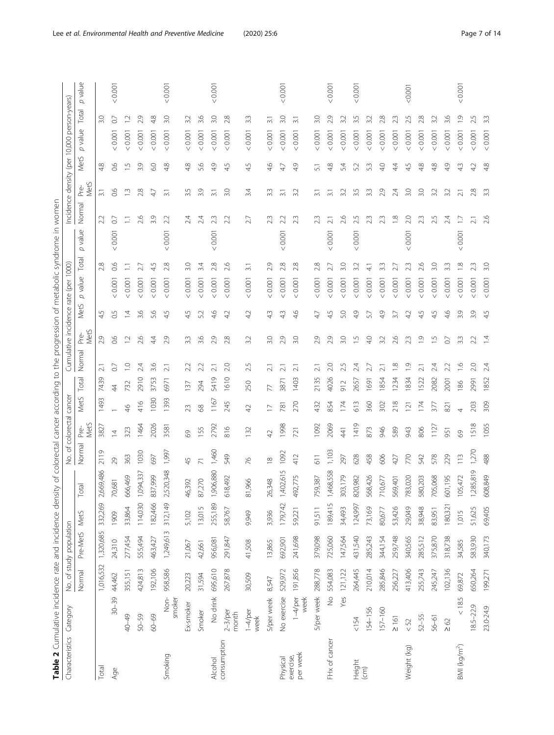<span id="page-6-0"></span>

| Table 2 Cumulative incidence rate and incidence den |                         |           |                         |         | $\sigma$<br>sity | colorectal cancer according            |                 |                |          |                      |                        |                |                          | to the progression of metabolic syndrome in women |                  |                  |                                             |                   |         |
|-----------------------------------------------------|-------------------------|-----------|-------------------------|---------|------------------|----------------------------------------|-----------------|----------------|----------|----------------------|------------------------|----------------|--------------------------|---------------------------------------------------|------------------|------------------|---------------------------------------------|-------------------|---------|
| Characteristics                                     | Category                |           | No. of study population |         |                  | ₻<br>δ.                                | colorectal      | cancer         |          | Cumulative incidence |                        |                | 1000<br>rate (per        |                                                   |                  |                  | Incidence density (per 10,000 person-years) |                   |         |
|                                                     |                         | Normal    | Pre-MetS                | MetS    | eta              | Normal                                 | MetS<br>ە<br>Pr | MetS           | Total    | Normal               | MetS<br>Pré-           | σ<br>MetS      | Total<br>value           | value<br>$\sigma$                                 | MetS<br>Normal   | MetS             | value<br>$\sigma$                           | $\sigma$<br>Total | value   |
| Total                                               |                         | 1,016,532 | 1,320,685               | 332,269 | 2,669,486        | 2119                                   | 3827            | 1493           | 7439     | $\overline{\sim}$    | 4.<br>2.9              | 5              | 2.8                      | 2.2                                               | $\overline{3.1}$ | 4.8              |                                             | 3.0               |         |
| Age                                                 | $30 - 39$               | 44,462    | 24,310                  | 1909    | 70,681           | 29                                     | ₫               |                | 4        | 5                    | 66                     | 0.5            | 0.6<br>< 0.001           | $\overline{0}$<br>0.001                           | 66               | $\frac{6}{2}$    | 0.001                                       | $\circ$           | 0.001   |
|                                                     | 40-49                   | 355,151   | 277,454                 | 33,864  | 666,469          | 363                                    | 323             | $\frac{6}{4}$  | 732      | ₽                    | $\overline{12}$        | $\bar{4}$      | 0.001                    | Ξ                                                 | $\Xi$            | $\frac{5}{1}$    | < 0.001                                     | Ņ                 |         |
|                                                     | 50-59                   | 424,813   | 555,494                 | 114,030 | 1,094,337        | 1030                                   | 1464            | 416            | 2910     | 24                   | 2.6                    | 3.6            | 27<br>0.001              | 2.6                                               | 2.8              | 3.9              | < 0.001                                     | 29                |         |
|                                                     | $60 - 69$               | 192,106   | 463,427                 | 182,466 | 837,999          | 697                                    | 2026            | 1030           | 3753     | 3.6                  | 4.                     | 5.6            | 5<br>4<br>0.001          | 3.9                                               | 47               | 6.0              | 0.001                                       | 4.8               |         |
| Smoking                                             | $\frac{1}{2}$<br>smoker | 958,586   | 1,249,613               | 312,149 | 2,520,348        | 1,997                                  | 3581            | 393            | 6971     | ಸ                    | 4<br>2.9               | $\overline{5}$ | ∞<br>$\sim$<br>10000     | 22<br>0.001<br>$\vee$                             | $\overline{3}$ . | 4.8              | 0.001<br>$\vee$                             | 3.0               | 0.001   |
|                                                     | Ex-smoker               | 20,223    | 21,067                  | 5,102   | 46,392           | $\overline{4}$                         | $\odot$         | 23             | 137      | 22                   | 4.<br>$3.\overline{3}$ | ŋ              | 3.0<br>0.001             | 24                                                | 3.5              | 4.8              | < 0.001                                     | 3.2               |         |
|                                                     | Smoker                  | 31,594    | 42,661                  | 13,015  | 87,270           |                                        | 155             | 89             | 294      | $\sim$<br>22         | ب                      | 5.2            | 34<br>< 0.001            | 24                                                | 3.9              | $\circ$<br>ட்    | < 0.001                                     | 3.6               |         |
| Alcohol                                             | No drink                | 695,610   | 956,081                 | 255,189 | ,906,880         | 1,460                                  | 2792            | 1167           | 5419     | $\sim$<br>ಸ          | $\circ$                | 4.6            | 28<br>0.001              | 23<br>< 0.001                                     | $\overline{3.1}$ | $\sigma$<br>4.   | < 0.001                                     | 3.0               | < 0.001 |
| consumption                                         | $2-3$ /per<br>month     | 267,878   | 291,847                 | 58,767  | 618,492          | 549                                    | 816             | 245            | 1610     | 2.0                  | 2.8                    | 4.2            | 2.6<br>0.001             | 2.2                                               | 3.0              | $\sqrt{ }$<br>4. | < 0.001                                     | 2.8               |         |
|                                                     | $1-4$ /per<br>week      | 30,509    | 41,508                  | 9,949   | 81,966           | $\frac{1}{6}$                          | 132             | $\overline{4}$ | 250      | 25                   | 3.2                    | 42             | $\overline{31}$<br>10000 | 27                                                | 3.4              | 5<br>4           | 0.0001                                      | ೫                 |         |
|                                                     | 5/per week              | 8,547     | 13,865                  | 3,936   | 26,348           | $\mathop{}_{\textstyle \sim}^{\infty}$ | $\overline{4}$  |                | 77       | $\overline{c}$       | 3.0                    | 43             | O)<br>$\sim$<br>0.001    | 23                                                | 3.3              | 46               | 0.0001                                      | $\overline{31}$   |         |
| Physical                                            | No exercise             | 529,972   | 692,901                 | 179,742 | ,402,615         | 1092                                   | 1998            | $\infty$       | -28<br>9 | N<br>ಸ               | $\circ$                | 4.3            | 2.8<br>0.001             | 22<br>0.001<br>$\vee$                             | $\overline{3}$ . | 4.               | < 0.001                                     | 3.0               | 0.00    |
| per week<br>exercise,                               | $1-4$ /per<br>week      | 191,856   | 241,698                 | 59,221  | 492,775          | 412                                    | 721             | 270            | 1403     | ಸ                    | 3.0                    | 4.6            | 2.8<br>< 0.001           | 23                                                | 3.2              | $\circ$<br>4.    | < 0.001                                     | $\overline{31}$   |         |
|                                                     | <b>S/per week</b>       | 288,778   | 379,098                 | 91,511  | 759,387          | 611                                    | 1092            | 432            | 2135     | ಸ                    | 2.9                    | 47             | $\sim$<br>< 0.001        | 23                                                | $\overline{3}$ . | 51               | < 0.001                                     | 30                |         |
| FHx of cancer                                       | $\frac{1}{2}$           | 554,083   | 725,060                 | 189,415 | ,468,558         | 1,103                                  | 2069            | 854            | 4026     | 20                   | 4.<br>2.9              | ŋ              | $\sim$<br>0.001          | $\overline{c}$<br>0.001<br>$\vee$                 | $\overline{31}$  | $\infty$<br>4.   | 0.001                                       | 2.9               | 0.001   |
|                                                     | Yes                     | 121,122   | 147,564                 | 34,493  | 303,179          | 297                                    | 41              | $\bar{7}4$     | 912      |                      | 3.0                    | 5.0            | S.G<br>10000             | 26                                                | 3.2              | 54               | 0.001                                       | 3.2               |         |
| Height                                              | 154                     | 264,445   | 431,540                 | 124,997 | 820,982          | 628                                    | 1419            | 613            | 2657     | 24                   | r.                     | 4.9            | 32<br>0.001              | 25<br>0.001                                       | 3.5              | 5.2              | < 0.001                                     | 3.5               | 0.001   |
| $\widehat{E}$                                       | 154-156                 | 210,014   | 285,243                 | 73,169  | 568,426          | 458                                    | 873             | 360            | 1691     | 21                   | 4.0                    | 5.7            | ্র<br>0.001              | 23                                                | $3.\overline{3}$ | 53               | 0.001                                       | 3.2               |         |
|                                                     | $157 - 160$             | 285,846   | 344,154                 | 80,677  | 710,677          | 606                                    | 946             | 302            | 1854     | ಸ                    | 3.2                    | 4.9            | ന്<br>0.001              | 23                                                | 2.9              | 40               | 0.001                                       | 2.8               |         |
|                                                     | $\geq 161$              | 256,227   | 259,748                 | 53,426  | 569,401          | 427                                    | 589             | $\frac{8}{2}$  | 234      | ≌                    | 2.6                    | 3.7            | < 0.001                  | $\frac{8}{1}$                                     | 2.4              | 4.               | 0.001                                       | 23                |         |
| Weight (kg)                                         | $< 52$                  | 413,406   | 340,565                 | 29,049  | 783,020          | 770                                    | 943             | $\overline{N}$ | 1834     | $\bar{0}$            | 23                     | 42             | 0.001                    | 2.0<br>0.001                                      | 3.0              | 4.5              | 0.0001                                      | ∽.                | 0000    |
|                                                     | $52 - 55$               | 255,743   | 285,512                 | 38,948  | 580,203          | 542                                    | 806             | $\overline{z}$ | 522      |                      | 0.                     | 45             | < 0.001                  | 23                                                | 3.0              | 4.8              | < 0.001                                     | 2.8               |         |
|                                                     | 56-61                   | 245,247   | 375,870                 | 83,951  | 705,068          | 578                                    | 1127            | 377            | 2082     | 21                   | L,                     | 45             | S.O<br>0.001             | 25                                                | 3.2              | 4.8              | 0.001                                       | 33                |         |
|                                                     | $\geq 62$               | 102,136   | 318,738                 | 180,321 | 601,195          | 229                                    | 951             | 821            | 2001     | 22                   | $\overline{0}$         | 4.6            | $\infty$<br>< 0.001      | 24                                                | 3.2              | ᡡ<br>4           | < 0.001                                     | 3.6               |         |
| BMI (kg/m <sup>2</sup> )                            | $<18.5$                 | 69,872    | 34,585                  | 1,015   | 105,472          | 113                                    | 89              | 4              | 86       | 으                    | 3.3                    | 3.9            | œ.<br>0.001              | $<0.001$                                          | $\overline{2.1}$ | 43               | < 0.001                                     | $\overline{0}$    | 0.001   |
|                                                     | $18.5 - 22.9$           | 650,264   | 583,930                 | 51,625  | ,285,819         | 1,270                                  | 1518            | 203            | 2991     |                      | $\sim$<br>2.2          | Q,             | 0.001                    |                                                   | 2.8              | 4.               | < 0.001                                     | 5                 |         |
|                                                     | 23.0-24.9               | 199,271   | 340,173                 | 69,405  | 508,849          | 488                                    | 1055            | 309            | 1852     | 24                   | 4                      | 45             | 3.0<br>0.001             | 26                                                | $\overline{3.3}$ | 4.8              | < 0.001                                     | 33                |         |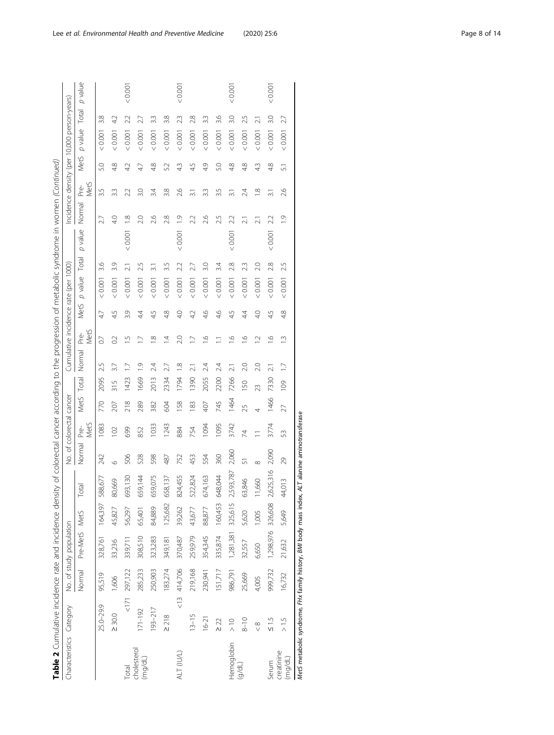| Table 2 Cumulative incidence rate and incidence density of colorectal cancer according to the progression of metabolic syndrome in women (Continued) |               |                 |                         |         |           |          |                          |      |       |                                      |                          |      |               |                 |         |                                             |                          |      |                |                  |
|------------------------------------------------------------------------------------------------------------------------------------------------------|---------------|-----------------|-------------------------|---------|-----------|----------|--------------------------|------|-------|--------------------------------------|--------------------------|------|---------------|-----------------|---------|---------------------------------------------|--------------------------|------|----------------|------------------|
| Characteristics Category                                                                                                                             |               |                 | No. of study population |         |           |          | No. of colorectal cancer |      |       | Cumulative incidence rate (per 1000) |                          |      |               |                 |         | Incidence density (per 10,000 person-years) |                          |      |                |                  |
|                                                                                                                                                      |               | Normal          | Pre-MetS MetS           |         | Total     | Normal   | MetS<br>Pré-             | Met5 | Total | Normal                               | Met <sub>5</sub><br>Pre- | Met5 | p value Total |                 | p value | Normal                                      | Met <sub>S</sub><br>Pre- | Met5 | p value        | p value<br>Total |
|                                                                                                                                                      | 25.0-29.9     | 95,519          | 328,761                 | 164,397 | 588,677   | 242      | 1083                     | 770  | 2095  | 2.5                                  | $\overline{0}$           | 47   | 0.001         | 3.6             |         | ä                                           | 3.5                      | 5.0  | 3.8<br>0.001   |                  |
|                                                                                                                                                      | $\geq 30.0$   | 1,606           | 33,236                  | 45,827  | 80,669    | O        | 102                      | 207  | 315   | 3.7                                  | $\approx$                | 4.5  | 10000         | 3.9             |         | 40                                          | 3.3                      | 4.8  | 4.2<br>0.001   |                  |
| Total                                                                                                                                                |               | $< 171$ 297,122 | 339,711                 | 56,297  | 693,130   | 506      | 699                      | 218  | 1423  |                                      | $\supseteq$              | 3.9  | 0.001         | $\overline{21}$ | < 0.001 | $\frac{8}{10}$                              | $\overline{42}$<br>22    |      | 22<br>0.001    | < 0.001          |
| cholesterol<br>(mg/dL)                                                                                                                               | 171-192       | 285,233         | 308,510                 | 65,401  | 659,144   | 528      | 852                      | 289  | 1669  | $\overline{0}$                       |                          | 44   | 10001         | 2.5             |         | 2.0                                         | 47<br>3.0                |      | 27<br>< 0.001  |                  |
|                                                                                                                                                      | $193 - 217$   | 250,903         | 323,283                 | 84,889  | 659,075   | 598      | 1033                     | 382  | 2013  | 24                                   | $\infty$                 | 45   | 0.001         | $\overline{31}$ |         | 2.6                                         | 3.4                      | 48   | 33<br>0.001    |                  |
|                                                                                                                                                      | $\geq 218$    | 183,274         | 349,181                 | 125,682 | 658,137   | 487      | 1243                     | 604  | 2334  | 27                                   | $\overline{4}$           | 4.8  | 10000         | 3.5             |         | 2.8                                         | 52<br>3.8                |      | 3.8<br>< 0.001 |                  |
| ALT (IU/L)                                                                                                                                           |               | 13 414,706      | 370,487                 | 39,262  | 824,455   | 752      | 884                      | 158  | 1794  | $\frac{8}{10}$                       | 2.0                      | 40   | 0.001         | 2.2             | < 0.001 | $\overline{0}$                              | 43<br>2.6                |      | 23<br>< 0.001  | 0.001            |
|                                                                                                                                                      | $13 - 15$     | 219,168         | 259,979                 | 43,677  | 522,824   | 453      | 754                      | 183  | 1390  |                                      | $\overline{1}$           | 42   | 0.001         | 27              |         | 22                                          | 45<br>ಸ                  |      | 2.8<br>0.001   |                  |
|                                                                                                                                                      | $16 - 21$     | 230,941         | 354,345                 | 88,877  | 674,163   | 554      | 1094                     | 407  | 2055  | 24                                   | $\leq$                   | 4.6  | 10000         | 3.0             |         | 2.6                                         | 4.9<br>33                |      | 33<br>0.001    |                  |
|                                                                                                                                                      | $\geq$ 22     | 151,717         | 335,874                 | 160,453 | 648,044   | 360      | 1095                     | 745  | 2200  | 24                                   | Ξ                        | 46   | 0.001         | 3.4             |         | 2.5                                         | 3.5                      | 5.0  | 3.6<br>0.001   |                  |
| Hemoglobin                                                                                                                                           | $\frac{1}{2}$ | 986,791         | 1,281,381 325,615       |         | 2,593,787 | 2,060    | 3742                     | 1464 | 7266  | $\overline{21}$                      | $\overline{6}$           | 4.5  | 0.001         | 2.8             | < 0.001 | .<br>M<br>22                                | 4.8                      |      | 3.O<br>< 0.001 | 0.001            |
| (d/dL)                                                                                                                                               | $8 - 10$      | 25,669          | 32,557                  | 5,620   | 63,846    | 5        | 74                       | 25   | 150   | 20                                   | $\leq$                   | 44   | 0.001         | 23              |         |                                             | 4.8<br>2.4               |      | 2.5<br>0.001   |                  |
|                                                                                                                                                      | $\frac{8}{x}$ | 4,005           | 6,650                   | 1,005   | 11,660    | $\infty$ |                          | 4    | 23    | 2.0                                  | $\overline{C}$           | 40   | 0.001         | 2.0             |         |                                             | 43<br>$\frac{8}{1}$      |      | ಸ<br>< 0.001   |                  |
| Serum                                                                                                                                                | $\frac{5}{5}$ | 999,732         | 1,298,976 326,608       |         | 2,625,316 | 2,090    | 3774                     | 1466 | 7330  |                                      | $\frac{0}{1}$            | 4.5  | 0.001         | 2.8             | 0.001   | $\sim$<br>22                                |                          | 4.8  | 3.O<br>0.001   | < 0.001          |
| creatinine<br>(mq/dL)                                                                                                                                | $\frac{5}{1}$ | 16,732          | 21,632                  | 5,649   | 44,013    | 29       | SS                       | 27   | 109   | $\overline{1}$                       | m.                       | 4.8  | 10000         | 2.5             |         | $\overline{\circ}$                          | 5<br>2.6                 |      | 27<br>< 0.001  |                  |
| MetS metabolic syndrome, FHx family history, BMI body mass index, ALT alanine aminotransferase                                                       |               |                 |                         |         |           |          |                          |      |       |                                      |                          |      |               |                 |         |                                             |                          |      |                |                  |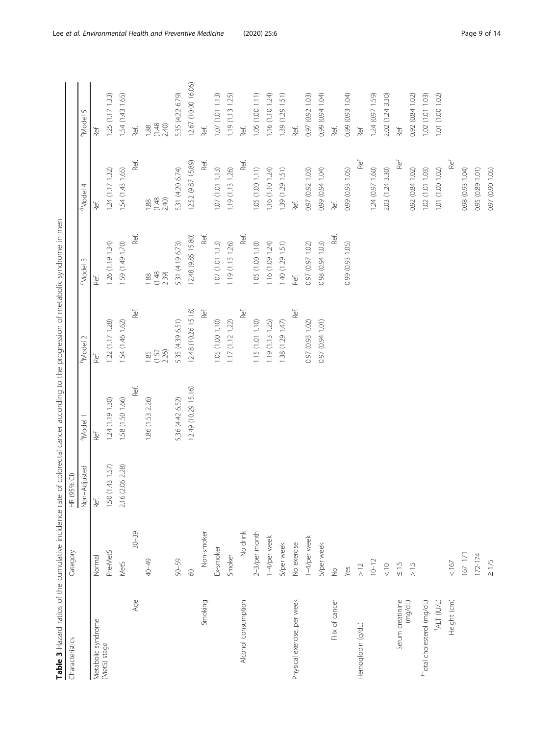| l                                                        |
|----------------------------------------------------------|
|                                                          |
|                                                          |
| i                                                        |
| ׇ֖֚֠֕֕<br>١                                              |
| ļ<br>ׇ֚֘֝֕<br>j                                          |
| ţ                                                        |
|                                                          |
| İ<br>$\epsilon$<br>ś                                     |
| $\overline{\phantom{a}}$<br>١<br>$\frac{1}{2}$<br>ī<br>5 |
| ć<br>ï                                                   |
| Ş                                                        |
|                                                          |
| ŗ<br>Ó<br>١                                              |
| Ĭ<br>i                                                   |
| i<br>ś                                                   |
| í<br>l<br>čκ                                             |
| ١<br>ì                                                   |
| I                                                        |
| ׇ֖֖֖֖֖֧ׅ֧֚֚֚֚֚֚֚֚֚֚֚֚֚֚֚֚֚֚֚֚֚֚֚֚֚֚֚֚֬֝֝֓֞               |
| í                                                        |
| $\overline{\phantom{a}}$<br>ŧ<br>i                       |
| ì<br>١                                                   |
| i<br>j<br>Ŧ                                              |
| d<br>j<br>ׇ֚֚֘֝֝                                         |
| i<br>j<br>1<br>ì<br>į                                    |
| i<br>i                                                   |
| ļ<br>J<br>٦                                              |
| $\frac{1}{2}$<br>j<br>i<br>Ï                             |
| ļ<br>$\ddot{\phantom{0}}$<br>١                           |
| i<br>ì                                                   |
| $\overline{\phantom{a}}$<br>١                            |
| $\mathfrak{c}$<br>j                                      |
| $\frac{1}{2}$<br>₹<br>۱                                  |
| Ó<br>۱<br>i<br>ì                                         |
| ŗ.<br>$\overline{\phantom{a}}$<br>ç<br>ã<br>j            |
| र<br>र<br>j<br>ׇ֚֘֝֡                                     |
| ׇ֚֓֡֡֡֡֡֡<br>ļ                                           |
| ļ<br>ś                                                   |
|                                                          |
| i                                                        |
| Í                                                        |
| í                                                        |
| Ç                                                        |
|                                                          |
|                                                          |
| Ï<br>١<br>i                                              |
| ï<br>j                                                   |
| ī<br>֚֬֕<br>ׇ֦֡֡֡<br>j<br>ī<br>Ï                         |
| j<br>Ì<br>$\overline{\phantom{a}}$<br>$\overline{a}$     |
| v                                                        |
| ć<br>j<br>l<br>í                                         |
| ć<br>į                                                   |
| í<br>7<br>I                                              |
|                                                          |

<span id="page-8-0"></span>

| Characteristics             | Category         | HR (95% CI)         |                      |                         |                         |                         |                         |
|-----------------------------|------------------|---------------------|----------------------|-------------------------|-------------------------|-------------------------|-------------------------|
|                             |                  | Non-Adjusted        | <sup>a</sup> Model 1 | <b>PModel 2</b>         | <sup>c</sup> Model 3    | <sup>d</sup> Model 4    | e <sub>Model</sub> 5    |
| Metabolic syndrome          | Normal           | Ref.                | Ref.                 | Ref.                    | Ref.                    | Ref.                    | Ref                     |
| (MetS) stage                | Pre-MetS         | (1.43 1.57)<br>1.50 | 1.24 (1.19 1.30)     | 1.22 (1.17 1.28)        | 1.26 (1.19 1.34)        | 1.24 (1.17 1.32)        | 1.25(1.17133)           |
|                             | MetS             | (2.06 2.28)<br>2.16 | 1.58 (1.50 1.66)     | 1.54 (1.46 1.62)        | 1.59 (1.49 1.70)        | 1.54 (1.43 1.65)        | 1.54 (1.43 1.65)        |
| Age                         | $30 - 39$        |                     | Ref.                 | Ref.                    | Ref.                    | Ref.                    | Ref.                    |
|                             | 40-49            |                     | 1.86 (1.53 2.26)     | 2.26)<br>(1.52)<br>1.85 | (1.48)<br>2.39)<br>1.88 | $1.88$<br>(1.48<br>2.40 | (1.48)<br>2.40)<br>1.88 |
|                             | 50-59            |                     | 5.36 (4.42 6.52)     | 5.35 (4.39 6.51)        | 5.31 (4.19 6.73)        | 5.31 (4.20 6.74)        | 5.35 (4.22 6.79)        |
|                             | 09               |                     | 12.49 (10.29 15.16)  | 12.48 (10.26 15.18)     | 12.48 (9.85 15.80)      | 12.52 (9.87 15.89)      | 12.67 (10.00 16.06)     |
| Smoking                     | Non-smoker       |                     |                      | Ref.                    | Ref.                    | Ref.                    | Ref.                    |
|                             | Ex-smoker        |                     |                      | 1.05 (1.00 1.10)        | 1.07 (1.01 1.13)        | 1.07 (1.01 1.13)        | 1.07(1.011.13)          |
|                             | Smoker           |                     |                      | 1.17(1.1212)            | 1.19 (1.13 1.26)        | 1.19 (1.13 1.26)        | 1.19 (1.13 1.25)        |
| Alcohol consumption         | No drink         |                     |                      | Ref.                    | Ref.                    | Ref.                    | Ref.                    |
|                             | $2-3$ /per month |                     |                      | 1.15 (1.01 1.10)        | 1.05 (1.00 1.10)        | 1.05 (1.00 1.11)        | 1.05 (1.00 1.11)        |
|                             | 1-4/per week     |                     |                      | 1.19 (1.13 1.25)        | 1.16 (1.09 1.24)        | 1.16 (1.10 1.24)        | 1.16 (1.10 1.24)        |
|                             | 5/per week       |                     |                      | 1.38 (1.29 1.47)        | 1.40 (1.29 1.51)        | 1.39 (1.29 1.51)        | 1.39 (1.29 1.51)        |
| Physical exercise, per week | No exercise      |                     |                      | Ref.                    | Ref.                    | Ref.                    | Ref.                    |
|                             | 1-4/per week     |                     |                      | 0.97 (0.93 1.02)        | 0.97 (0.97 1.02)        | 0.97 (0.92 1.03)        | 0.97 (0.92 1.03)        |
|                             | 5/per week       |                     |                      | 0.97 (0.94 1.01)        | 0.98 (0.94 1.03)        | 0.99 (0.94 1.04)        | 0.99 (0.94 1.04)        |
| FHx of cancer               | $\frac{6}{2}$    |                     |                      |                         | Ref.                    | Ref.                    | Ref.                    |
|                             | Yes              |                     |                      |                         | 0.99 (0.93 1.05)        | 0.99 (0.93 1.05)        | 0.99 (0.93 1.04)        |
| Hemoglobin (g/dL)           | $\geq$ 12        |                     |                      |                         |                         | Ref                     | Ref                     |
|                             | $10 - 12$        |                     |                      |                         |                         | 1.24 (0.97 1.60)        | 1.24 (0.97 1.59)        |
|                             | $\frac{1}{2}$    |                     |                      |                         |                         | 2.03 (1.24 3.30)        | 2.02 (1.24 3.30)        |
| Serum creatinine            | $\leq 1.5$       |                     |                      |                         |                         | Ref                     | Ref                     |
| (mg/dL)                     | $\geq 1.5$       |                     |                      |                         |                         | 0.92 (0.84 1.02)        | 0.92 (0.84 1.02)        |
| fotal cholesterol (mg/dL)   |                  |                     |                      |                         |                         | 1.02 (1.01 1.03)        | 1.02 (1.01 1.03)        |
| (ALT (IU/L)                 |                  |                     |                      |                         |                         | 1.01 (1.00 1.02)        | 1.01 (1.00 1.02)        |
| Height (cm)                 | $<167$           |                     |                      |                         |                         | Ref                     |                         |
|                             | $167 - 171$      |                     |                      |                         |                         | 0.98 (0.93 1.04)        |                         |
|                             | $172 - 174$      |                     |                      |                         |                         | 0.95 (0.89 1.01)        |                         |
|                             | $\geq$ 175       |                     |                      |                         |                         | 0.97 (0.90 1.05)        |                         |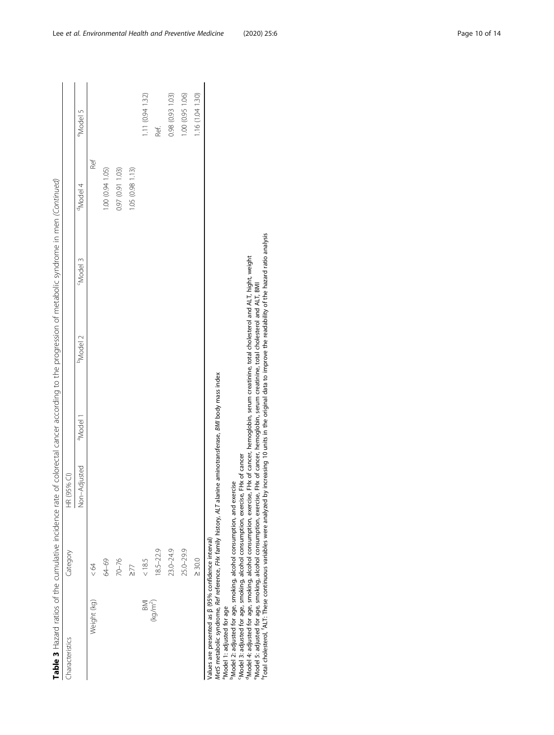| Table 3 Hazard ratios of the cumulative incidence rate of colorectal cancer according to the progression of metabolic syndrome in men (Continued)                                                                                                                                                                                                                                                                                                                                                                                                                                                                                                                                                                 |             |               |                      |                                                                                                                                                                      |                 |                      |                  |
|-------------------------------------------------------------------------------------------------------------------------------------------------------------------------------------------------------------------------------------------------------------------------------------------------------------------------------------------------------------------------------------------------------------------------------------------------------------------------------------------------------------------------------------------------------------------------------------------------------------------------------------------------------------------------------------------------------------------|-------------|---------------|----------------------|----------------------------------------------------------------------------------------------------------------------------------------------------------------------|-----------------|----------------------|------------------|
| Characteristics                                                                                                                                                                                                                                                                                                                                                                                                                                                                                                                                                                                                                                                                                                   | Category    | HR (95% CI)   |                      |                                                                                                                                                                      |                 |                      |                  |
|                                                                                                                                                                                                                                                                                                                                                                                                                                                                                                                                                                                                                                                                                                                   |             | Non-Adjusted  | <sup>a</sup> Model 1 | <sup>b</sup> Model 2                                                                                                                                                 | <b>EModel 3</b> | <sup>d</sup> Model 4 | eModel 5         |
| Weight (kg)                                                                                                                                                                                                                                                                                                                                                                                                                                                                                                                                                                                                                                                                                                       | < 64        |               |                      |                                                                                                                                                                      |                 | Ref                  |                  |
|                                                                                                                                                                                                                                                                                                                                                                                                                                                                                                                                                                                                                                                                                                                   | 64-69       |               |                      |                                                                                                                                                                      |                 | 1.00 (0.94 1.05)     |                  |
|                                                                                                                                                                                                                                                                                                                                                                                                                                                                                                                                                                                                                                                                                                                   | 70-76       |               |                      |                                                                                                                                                                      |                 | 0.97 (0.91 1.03)     |                  |
|                                                                                                                                                                                                                                                                                                                                                                                                                                                                                                                                                                                                                                                                                                                   | 277         |               |                      |                                                                                                                                                                      |                 | 1.05 (0.98 1.13)     |                  |
| BMI                                                                                                                                                                                                                                                                                                                                                                                                                                                                                                                                                                                                                                                                                                               | < 18.5      |               |                      |                                                                                                                                                                      |                 |                      | 1.11 (0.94 1.32) |
| (kg/m <sup>2</sup> )                                                                                                                                                                                                                                                                                                                                                                                                                                                                                                                                                                                                                                                                                              | 18.5-22.9   |               |                      |                                                                                                                                                                      |                 |                      | Ref.             |
|                                                                                                                                                                                                                                                                                                                                                                                                                                                                                                                                                                                                                                                                                                                   | 23.0-24.9   |               |                      |                                                                                                                                                                      |                 |                      | 0.98 (0.93 1.03) |
|                                                                                                                                                                                                                                                                                                                                                                                                                                                                                                                                                                                                                                                                                                                   | 25.0-29.9   |               |                      |                                                                                                                                                                      |                 |                      | 1.00 (0.95 1.06) |
|                                                                                                                                                                                                                                                                                                                                                                                                                                                                                                                                                                                                                                                                                                                   | $\geq 30.0$ |               |                      |                                                                                                                                                                      |                 |                      | 1.16 (1.04 1.30) |
| Total cholesterol, ALT. These continuous variables were analyzed by increasing 10 units in the original data to improve the readability of the hazard ratio analysis<br>Met5 metabolic syndrome, Ref reference, FHx family history, ALT alanine aminotransferase, BMI body mass index<br><sup>p</sup> Model 2: adjusted for age, smoking, alcohol consumption, and exercise<br><sup>a</sup> Model 4: adjusted for age, smoking, alcohol consumption, exercise,<br><sup>e</sup> Model 5: adjusted for age, smoking, alcohol consumption, exercise,<br>Model 3: adjusted for age, smoking, alcohol consumption, exercise,<br>Values are presented as $\beta$ (95% confidence interval)<br>Model 1: adjusted for age |             | FHx of cancer |                      | FHx of cancer, hemoglobin, serum creatinine, total cholesterol and ALT, hight, weight<br>FHx of cancer, hemoglobin, serum creatinine, total cholesterol and ALT, BMI |                 |                      |                  |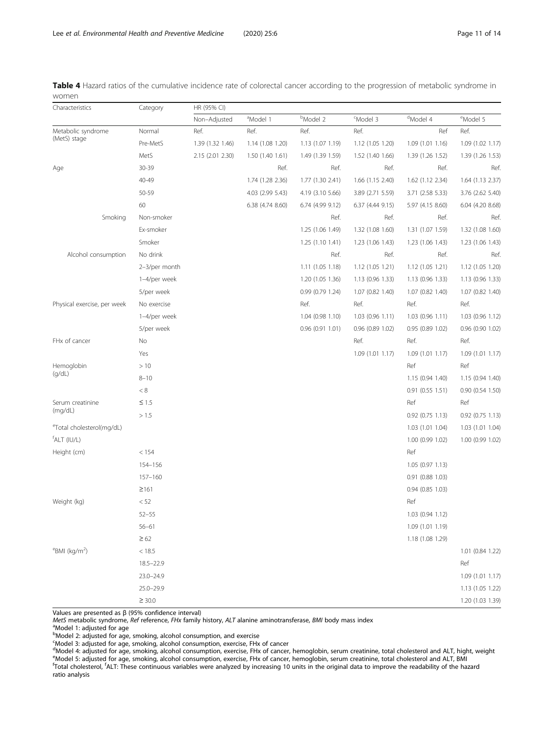| Characteristics                      | Category      | HR (95% CI)      |                      |                      |                      |                      |                      |
|--------------------------------------|---------------|------------------|----------------------|----------------------|----------------------|----------------------|----------------------|
|                                      |               | Non-Adjusted     | <sup>a</sup> Model 1 | <sup>b</sup> Model 2 | <sup>c</sup> Model 3 | <sup>d</sup> Model 4 | <sup>e</sup> Model 5 |
| Metabolic syndrome                   | Normal        | Ref.             | Ref.                 | Ref.                 | Ref.                 | Ref                  | Ref.                 |
| (MetS) stage                         | Pre-MetS      | 1.39 (1.32 1.46) | 1.14 (1.08 1.20)     | 1.13 (1.07 1.19)     | 1.12 (1.05 1.20)     | 1.09 (1.01 1.16)     | 1.09 (1.02 1.17)     |
|                                      | MetS          | 2.15 (2.01 2.30) | 1.50 (1.40 1.61)     | 1.49 (1.39 1.59)     | 1.52 (1.40 1.66)     | 1.39 (1.26 1.52)     | 1.39 (1.26 1.53)     |
| Age                                  | 30-39         |                  | Ref.                 | Ref.                 | Ref.                 | Ref.                 | Ref.                 |
|                                      | 40-49         |                  | 1.74 (1.28 2.36)     | 1.77 (1.30 2.41)     | 1.66 (1.15 2.40)     | 1.62 (1.12 2.34)     | 1.64 (1.13 2.37)     |
|                                      | 50-59         |                  | 4.03 (2.99 5.43)     | 4.19 (3.10 5.66)     | 3.89 (2.71 5.59)     | 3.71 (2.58 5.33)     | 3.76 (2.62 5.40)     |
|                                      | 60            |                  | 6.38 (4.74 8.60)     | 6.74 (4.99 9.12)     | 6.37 (4.44 9.15)     | 5.97 (4.15 8.60)     | 6.04 (4.20 8.68)     |
| Smoking                              | Non-smoker    |                  |                      | Ref.                 | Ref.                 | Ref.                 | Ref.                 |
|                                      | Ex-smoker     |                  |                      | 1.25 (1.06 1.49)     | 1.32 (1.08 1.60)     | 1.31 (1.07 1.59)     | 1.32 (1.08 1.60)     |
|                                      | Smoker        |                  |                      | 1.25 (1.10 1.41)     | 1.23 (1.06 1.43)     | 1.23 (1.06 1.43)     | 1.23 (1.06 1.43)     |
| Alcohol consumption                  | No drink      |                  |                      | Ref.                 | Ref.                 | Ref.                 | Ref.                 |
|                                      | 2-3/per month |                  |                      | 1.11(1.051.18)       | 1.12 (1.05 1.21)     | 1.12(1.051.21)       | 1.12 (1.05 1.20)     |
|                                      | 1-4/per week  |                  |                      | 1.20 (1.05 1.36)     | 1.13 (0.96 1.33)     | 1.13 (0.96 1.33)     | 1.13 (0.96 1.33)     |
|                                      | 5/per week    |                  |                      | 0.99(0.791.24)       | 1.07 (0.82 1.40)     | 1.07 (0.82 1.40)     | 1.07 (0.82 1.40)     |
| Physical exercise, per week          | No exercise   |                  |                      | Ref.                 | Ref.                 | Ref.                 | Ref.                 |
|                                      | 1-4/per week  |                  |                      | 1.04 (0.98 1.10)     | 1.03 (0.96 1.11)     | 1.03 (0.96 1.11)     | 1.03 (0.96 1.12)     |
|                                      | 5/per week    |                  |                      | 0.96(0.911.01)       | $0.96$ $(0.89 1.02)$ | 0.95(0.891.02)       | 0.96 (0.90 1.02)     |
| FHx of cancer                        | No            |                  |                      |                      | Ref.                 | Ref.                 | Ref.                 |
|                                      | Yes           |                  |                      |                      | 1.09 (1.01 1.17)     | 1.09 (1.01 1.17)     | 1.09 (1.01 1.17)     |
| Hemoglobin                           | >10           |                  |                      |                      |                      | Ref                  | Ref                  |
| (g/dL)                               | $8 - 10$      |                  |                      |                      |                      | 1.15 (0.94 1.40)     | 1.15 (0.94 1.40)     |
|                                      | $< 8$         |                  |                      |                      |                      | 0.91(0.551.51)       | $0.90$ $(0.54$ 1.50) |
| Serum creatinine                     | $\leq 1.5$    |                  |                      |                      |                      | Ref                  | Ref                  |
| (mg/dL)                              | > 1.5         |                  |                      |                      |                      | $0.92$ $(0.75$ 1.13) | $0.92$ $(0.75$ 1.13) |
| eTotal cholesterol(mg/dL)            |               |                  |                      |                      |                      | 1.03 (1.01 1.04)     | 1.03 (1.01 1.04)     |
| <sup>f</sup> ALT (IU/L)              |               |                  |                      |                      |                      | 1.00 (0.99 1.02)     | 1.00 (0.99 1.02)     |
| Height (cm)                          | < 154         |                  |                      |                      |                      | Ref                  |                      |
|                                      | 154-156       |                  |                      |                      |                      | 1.05 (0.97 1.13)     |                      |
|                                      | $157 - 160$   |                  |                      |                      |                      | $0.91$ $(0.88 1.03)$ |                      |
|                                      | ≥161          |                  |                      |                      |                      | $0.94$ $(0.85 1.03)$ |                      |
| Weight (kg)                          | < 52          |                  |                      |                      |                      | Ref                  |                      |
|                                      | $52 - 55$     |                  |                      |                      |                      | 1.03 (0.94 1.12)     |                      |
|                                      | $56 - 61$     |                  |                      |                      |                      | 1.09 (1.01 1.19)     |                      |
|                                      | $\geq 62$     |                  |                      |                      |                      | 1.18 (1.08 1.29)     |                      |
| $\mathrm{eBMI}$ (kg/m <sup>2</sup> ) | < 18.5        |                  |                      |                      |                      |                      | 1.01 (0.84 1.22)     |
|                                      | $18.5 - 22.9$ |                  |                      |                      |                      |                      | Ref                  |
|                                      | $23.0 - 24.9$ |                  |                      |                      |                      |                      | 1.09 (1.01 1.17)     |
|                                      | $25.0 - 29.9$ |                  |                      |                      |                      |                      | 1.13 (1.05 1.22)     |
|                                      | $\geq$ 30.0   |                  |                      |                      |                      |                      | 1.20 (1.03 1.39)     |

<span id="page-10-0"></span>Table 4 Hazard ratios of the cumulative incidence rate of colorectal cancer according to the progression of metabolic syndrome in women

Values are presented as β (95% confidence interval)

MetS metabolic syndrome, Ref reference, FHx family history, ALT alanine aminotransferase, BMI body mass index

Model 1: adjusted for age

<sup>b</sup>Model 2: adjusted for age, smoking, alcohol consumption, and exercise

Model 3: adjusted for age, smoking, alcohol consumption, exercise, FHx of cancer<br><sup>d</sup>Model 4: adjusted for age, smoking, alcohol consumption, exercise, FHx of cancer, hemoglobin, serum creatinine, total cholesterol and ALT, Model 5: adjusted for age, smoking, alcohol consumption, exercise, FHx of cancer, hemoglobin, serum creatinine, total cholesterol and ALT, BMI f Total cholesterol, <sup>f</sup> ALT: These continuous variables were analyzed by increasing 10 units in the original data to improve the readability of the hazard ratio analysis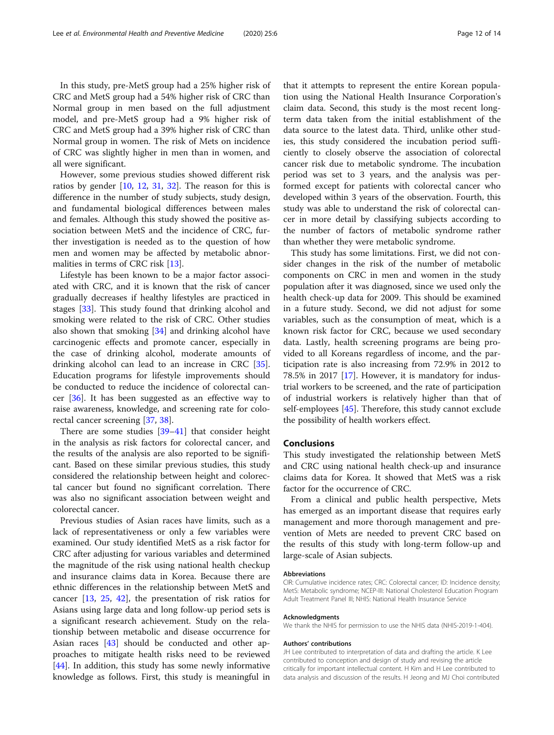In this study, pre-MetS group had a 25% higher risk of CRC and MetS group had a 54% higher risk of CRC than Normal group in men based on the full adjustment model, and pre-MetS group had a 9% higher risk of CRC and MetS group had a 39% higher risk of CRC than Normal group in women. The risk of Mets on incidence of CRC was slightly higher in men than in women, and all were significant.

However, some previous studies showed different risk ratios by gender  $[10, 12, 31, 32]$  $[10, 12, 31, 32]$  $[10, 12, 31, 32]$  $[10, 12, 31, 32]$  $[10, 12, 31, 32]$  $[10, 12, 31, 32]$  $[10, 12, 31, 32]$  $[10, 12, 31, 32]$  $[10, 12, 31, 32]$ . The reason for this is difference in the number of study subjects, study design, and fundamental biological differences between males and females. Although this study showed the positive association between MetS and the incidence of CRC, further investigation is needed as to the question of how men and women may be affected by metabolic abnormalities in terms of CRC risk [[13](#page-12-0)].

Lifestyle has been known to be a major factor associated with CRC, and it is known that the risk of cancer gradually decreases if healthy lifestyles are practiced in stages [\[33\]](#page-12-0). This study found that drinking alcohol and smoking were related to the risk of CRC. Other studies also shown that smoking [\[34](#page-12-0)] and drinking alcohol have carcinogenic effects and promote cancer, especially in the case of drinking alcohol, moderate amounts of drinking alcohol can lead to an increase in CRC [\[35](#page-12-0)]. Education programs for lifestyle improvements should be conducted to reduce the incidence of colorectal cancer [\[36](#page-12-0)]. It has been suggested as an effective way to raise awareness, knowledge, and screening rate for colorectal cancer screening [[37,](#page-12-0) [38](#page-13-0)].

There are some studies [\[39](#page-13-0)–[41\]](#page-13-0) that consider height in the analysis as risk factors for colorectal cancer, and the results of the analysis are also reported to be significant. Based on these similar previous studies, this study considered the relationship between height and colorectal cancer but found no significant correlation. There was also no significant association between weight and colorectal cancer.

Previous studies of Asian races have limits, such as a lack of representativeness or only a few variables were examined. Our study identified MetS as a risk factor for CRC after adjusting for various variables and determined the magnitude of the risk using national health checkup and insurance claims data in Korea. Because there are ethnic differences in the relationship between MetS and cancer [\[13](#page-12-0), [25](#page-12-0), [42\]](#page-13-0), the presentation of risk ratios for Asians using large data and long follow-up period sets is a significant research achievement. Study on the relationship between metabolic and disease occurrence for Asian races [[43\]](#page-13-0) should be conducted and other approaches to mitigate health risks need to be reviewed [[44\]](#page-13-0). In addition, this study has some newly informative knowledge as follows. First, this study is meaningful in

that it attempts to represent the entire Korean population using the National Health Insurance Corporation's claim data. Second, this study is the most recent longterm data taken from the initial establishment of the data source to the latest data. Third, unlike other studies, this study considered the incubation period sufficiently to closely observe the association of colorectal cancer risk due to metabolic syndrome. The incubation period was set to 3 years, and the analysis was performed except for patients with colorectal cancer who developed within 3 years of the observation. Fourth, this study was able to understand the risk of colorectal cancer in more detail by classifying subjects according to the number of factors of metabolic syndrome rather than whether they were metabolic syndrome.

This study has some limitations. First, we did not consider changes in the risk of the number of metabolic components on CRC in men and women in the study population after it was diagnosed, since we used only the health check-up data for 2009. This should be examined in a future study. Second, we did not adjust for some variables, such as the consumption of meat, which is a known risk factor for CRC, because we used secondary data. Lastly, health screening programs are being provided to all Koreans regardless of income, and the participation rate is also increasing from 72.9% in 2012 to 78.5% in 2017 [[17\]](#page-12-0). However, it is mandatory for industrial workers to be screened, and the rate of participation of industrial workers is relatively higher than that of self-employees [\[45](#page-13-0)]. Therefore, this study cannot exclude the possibility of health workers effect.

#### Conclusions

This study investigated the relationship between MetS and CRC using national health check-up and insurance claims data for Korea. It showed that MetS was a risk factor for the occurrence of CRC.

From a clinical and public health perspective, Mets has emerged as an important disease that requires early management and more thorough management and prevention of Mets are needed to prevent CRC based on the results of this study with long-term follow-up and large-scale of Asian subjects.

#### Abbreviations

CIR: Cumulative incidence rates; CRC: Colorectal cancer; ID: Incidence density; MetS: Metabolic syndrome; NCEP-III: National Cholesterol Education Program Adult Treatment Panel III; NHIS: National Health Insurance Service

#### Acknowledgments

We thank the NHIS for permission to use the NHIS data (NHIS-2019-1-404).

#### Authors' contributions

JH Lee contributed to interpretation of data and drafting the article. K Lee contributed to conception and design of study and revising the article critically for important intellectual content. H Kim and H Lee contributed to data analysis and discussion of the results. H Jeong and MJ Choi contributed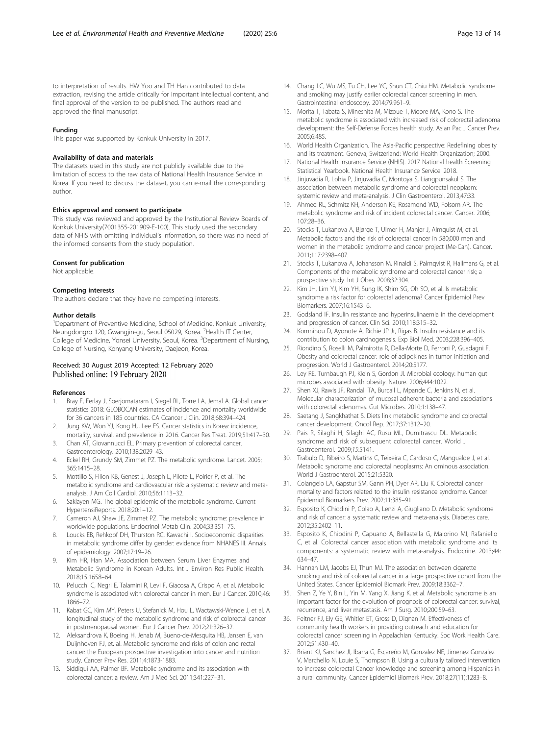<span id="page-12-0"></span>to interpretation of results. HW Yoo and TH Han contributed to data extraction, revising the article critically for important intellectual content, and final approval of the version to be published. The authors read and approved the final manuscript.

#### Funding

This paper was supported by Konkuk University in 2017.

#### Availability of data and materials

The datasets used in this study are not publicly available due to the limitation of access to the raw data of National Health Insurance Service in Korea. If you need to discuss the dataset, you can e-mail the corresponding author.

#### Ethics approval and consent to participate

This study was reviewed and approved by the Institutional Review Boards of Konkuk University(7001355-201909-E-100). This study used the secondary data of NHIS with omitting individual's information, so there was no need of the informed consents from the study population.

#### Consent for publication

Not applicable.

#### Competing interests

The authors declare that they have no competing interests.

#### Author details

<sup>1</sup>Department of Preventive Medicine, School of Medicine, Konkuk University, Neungdongro 120, Gwangjin-gu, Seoul 05029, Korea. <sup>2</sup>Health IT Center, College of Medicine, Yonsei University, Seoul, Korea. <sup>3</sup>Department of Nursing, College of Nursing, Konyang University, Daejeon, Korea.

# Received: 30 August 2019 Accepted: 12 February 2020 Published online: 19 February 2020

#### References

- Bray F, Ferlay J, Soerjomataram I, Siegel RL, Torre LA, Jemal A. Global cancer statistics 2018: GLOBOCAN estimates of incidence and mortality worldwide for 36 cancers in 185 countries. CA Ccancer J Clin. 2018;68:394–424.
- Jung KW, Won YJ, Kong HJ, Lee ES. Cancer statistics in Korea: incidence, mortality, survival, and prevalence in 2016. Cancer Res Treat. 2019;51:417–30.
- 3. Chan AT, Giovannucci EL. Primary prevention of colorectal cancer. Gastroenterology. 2010;138:2029–43.
- 4. Eckel RH, Grundy SM, Zimmet PZ. The metabolic syndrome. Lancet. 2005; 365:1415–28.
- 5. Mottillo S, Filion KB, Genest J, Joseph L, Pilote L, Poirier P, et al. The metabolic syndrome and cardiovascular risk: a systematic review and metaanalysis. J Am Coll Cardiol. 2010;56:1113–32.
- 6. Saklayen MG. The global epidemic of the metabolic syndrome. Current HypertensiReports. 2018;20:1–12.
- 7. Cameron AJ, Shaw JE, Zimmet PZ. The metabolic syndrome: prevalence in worldwide populations. Endocrinol Metab Clin. 2004;33:351–75.
- 8. Loucks EB, Rehkopf DH, Thurston RC, Kawachi I. Socioeconomic disparities in metabolic syndrome differ by gender: evidence from NHANES III. Annals of epidemiology. 2007;17:19–26.
- 9. Kim HR, Han MA. Association between Serum Liver Enzymes and Metabolic Syndrome in Korean Adults. Int J Environ Res Public Health. 2018;15:1658–64.
- 10. Pelucchi C, Negri E, Talamini R, Levi F, Giacosa A, Crispo A, et al. Metabolic syndrome is associated with colorectal cancer in men. Eur J Cancer. 2010;46: 1866–72.
- 11. Kabat GC, Kim MY, Peters U, Stefanick M, Hou L, Wactawski-Wende J, et al. A longitudinal study of the metabolic syndrome and risk of colorectal cancer in postmenopausal women. Eur J Cancer Prev. 2012;21:326–32.
- 12. Aleksandrova K, Boeing H, Jenab M, Bueno-de-Mesquita HB, Jansen E, van Duijnhoven FJ, et. al. Metabolic syndrome and risks of colon and rectal cancer: the European prospective investigation into cancer and nutrition study. Cancer Prev Res. 2011;4:1873-1883.
- 13. Siddiqui AA, Palmer BF. Metabolic syndrome and its association with colorectal cancer: a review. Am J Med Sci. 2011;341:227–31.
- 14. Chang LC, Wu MS, Tu CH, Lee YC, Shun CT, Chiu HM. Metabolic syndrome and smoking may justify earlier colorectal cancer screening in men. Gastrointestinal endoscopy. 2014;79:961–9.
- 15. Morita T, Tabata S, Mineshita M, Mizoue T, Moore MA, Kono S. The metabolic syndrome is associated with increased risk of colorectal adenoma development: the Self-Defense Forces health study. Asian Pac J Cancer Prev. 2005;6:485.
- 16. World Health Organization. The Asia-Pacific perspective: Redefining obesity and its treatment. Geneva, Switzerland: World Health Organization; 2000.
- 17. National Health Insurance Service (NHIS). 2017 National health Screening Statistical Yearbook. National Health Insurance Service. 2018.
- 18. Jinjuvadia R, Lohia P, Jinjuvadia C, Montoya S, Liangpunsakul S. The association between metabolic syndrome and colorectal neoplasm: systemic review and meta-analysis. J Clin Gastroenterol. 2013;47:33.
- 19. Ahmed RL, Schmitz KH, Anderson KE, Rosamond WD, Folsom AR. The metabolic syndrome and risk of incident colorectal cancer. Cancer. 2006; 107:28–36.
- 20. Stocks T, Lukanova A, Bjørge T, Ulmer H, Manjer J, Almquist M, et al. Metabolic factors and the risk of colorectal cancer in 580,000 men and women in the metabolic syndrome and cancer project (Me-Can). Cancer. 2011;117:2398–407.
- 21. Stocks T, Lukanova A, Johansson M, Rinaldi S, Palmqvist R, Hallmans G, et al. Components of the metabolic syndrome and colorectal cancer risk; a prospective study. Int J Obes. 2008;32:304.
- 22. Kim JH, Lim YJ, Kim YH, Sung IK, Shim SG, Oh SO, et al. Is metabolic syndrome a risk factor for colorectal adenoma? Cancer Epidemiol Prev Biomarkers. 2007;16:1543–6.
- 23. Godsland IF. Insulin resistance and hyperinsulinaemia in the development and progression of cancer. Clin Sci. 2010;118:315–32.
- 24. Komninou D, Ayonote A, Richie JP Jr, Rigas B. Insulin resistance and its contribution to colon carcinogenesis. Exp Biol Med. 2003;228:396–405.
- 25. Riondino S, Roselli M, Palmirotta R, Della-Morte D, Ferroni P, Guadagni F. Obesity and colorectal cancer: role of adipokines in tumor initiation and progression. World J Gastroenterol. 2014;20:5177.
- 26. Ley RE, Turnbaugh PJ, Klein S, Gordon JI. Microbial ecology: human gut microbes associated with obesity. Nature. 2006;444:1022.
- 27. Shen XJ, Rawls JF, Randall TA, Burcall L, Mpande C, Jenkins N, et al. Molecular characterization of mucosal adherent bacteria and associations with colorectal adenomas. Gut Microbes. 2010;1:138–47.
- 28. Saetang J, Sangkhathat S. Diets link metabolic syndrome and colorectal cancer development. Oncol Rep. 2017;37:1312–20.
- 29. Pais R, Silaghi H, Silaghi AC, Rusu ML, Dumitrascu DL. Metabolic syndrome and risk of subsequent colorectal cancer. World J Gastroenterol. 2009;15:5141.
- 30. Trabulo D, Ribeiro S, Martins C, Teixeira C, Cardoso C, Mangualde J, et al. Metabolic syndrome and colorectal neoplasms: An ominous association. World J Gastroenterol. 2015;21:5320.
- 31. Colangelo LA, Gapstur SM, Gann PH, Dyer AR, Liu K. Colorectal cancer mortality and factors related to the insulin resistance syndrome. Cancer Epidemiol Biomarkers Prev. 2002;11:385–91.
- 32. Esposito K, Chiodini P, Colao A, Lenzi A, Giugliano D. Metabolic syndrome and risk of cancer: a systematic review and meta-analysis. Diabetes care. 2012;35:2402–11.
- 33. Esposito K, Chiodini P, Capuano A, Bellastella G, Maiorino MI, Rafaniello C, et al. Colorectal cancer association with metabolic syndrome and its components: a systematic review with meta-analysis. Endocrine. 2013;44: 634–47.
- 34. Hannan LM, Jacobs EJ, Thun MJ. The association between cigarette smoking and risk of colorectal cancer in a large prospective cohort from the United States. Cancer Epidemiol Biomark Prev. 2009;18:3362–7.
- 35. Shen Z, Ye Y, Bin L, Yin M, Yang X, Jiang K, et al. Metabolic syndrome is an important factor for the evolution of prognosis of colorectal cancer: survival, recurrence, and liver metastasis. Am J Surg. 2010;200:59–63.
- 36. Feltner FJ, Ely GE, Whitler ET, Gross D, Dignan M. Effectiveness of community health workers in providing outreach and education for colorectal cancer screening in Appalachian Kentucky. Soc Work Health Care. 2012;51:430–40.
- 37. Briant KJ, Sanchez JI, Ibarra G, Escareño M, Gonzalez NE, Jimenez Gonzalez V, Marchello N, Louie S, Thompson B. Using a culturally tailored intervention to increase colorectal Cancer knowledge and screening among Hispanics in a rural community. Cancer Epidemiol Biomark Prev. 2018;27(11):1283–8.